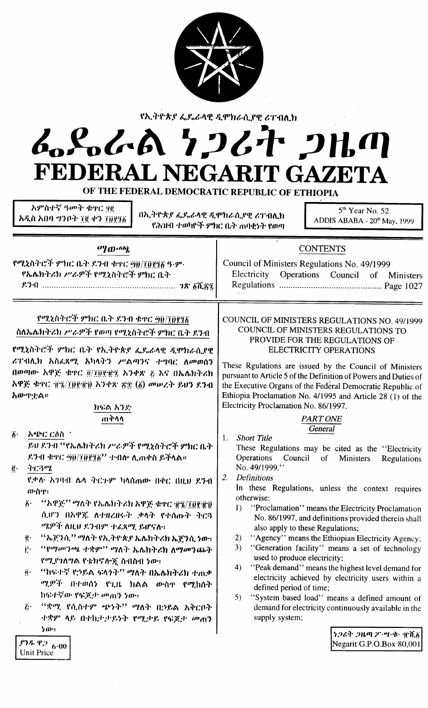| የኢትዮጵያ ፌዴራላዊ ዲሞክራሲያዊ ሪፐብሊክ<br>んとんへ ケンムナ 2出の<br>FEDERAL NEGARIT GAZETA<br>OF THE FEDERAL DEMOCRATIC REPUBLIC OF ETHIOPIA                                                                                                                                                                                                                                                                                                                                                                                                                                                                                                                                   |                                                                                                                                                                                                                                                                                                                                                                                                                                                                                                                                                                                                                                                                                                                                                                                                                                                                                                                                          |  |  |  |
|-----------------------------------------------------------------------------------------------------------------------------------------------------------------------------------------------------------------------------------------------------------------------------------------------------------------------------------------------------------------------------------------------------------------------------------------------------------------------------------------------------------------------------------------------------------------------------------------------------------------------------------------------------------|------------------------------------------------------------------------------------------------------------------------------------------------------------------------------------------------------------------------------------------------------------------------------------------------------------------------------------------------------------------------------------------------------------------------------------------------------------------------------------------------------------------------------------------------------------------------------------------------------------------------------------------------------------------------------------------------------------------------------------------------------------------------------------------------------------------------------------------------------------------------------------------------------------------------------------------|--|--|--|
| አምስተኛ ዓመት ቁዋር ፶፪<br>በኢትዮጵያ ፌዴራላዊ ዲሞክራሲያዊ ሪፐብሊክ<br>አዲስ አበባ ግንቦት ፲፪ ቀን ፲፱፻፺፩                                                                                                                                                                                                                                                                                                                                                                                                                                                                                                                                                                                | 5 <sup>th</sup> Year No. 52<br>ADDIS ABABA - 20 <sup>th</sup> May, 1999<br>የሕዝብ ተወካዮች ምክር ቤት ጠባቂነት የወጣ                                                                                                                                                                                                                                                                                                                                                                                                                                                                                                                                                                                                                                                                                                                                                                                                                                   |  |  |  |
| $\sigma$ (D.6b)<br>የሚኒስትሮች ምክር ቤት ደንብ ቁዋር ፵፬/፲፬፻፺፩ ዓ.ም.<br>የኤሌክትሪክ ሥራዎች የሚኒስትሮች ምክር ቤት                                                                                                                                                                                                                                                                                                                                                                                                                                                                                                                                                                    | <b>CONTENTS</b><br>Council of Ministers Regulations No. 49/1999<br>Electricity Operations Council of Ministers                                                                                                                                                                                                                                                                                                                                                                                                                                                                                                                                                                                                                                                                                                                                                                                                                           |  |  |  |
| የሚኒስትሮች ምክር ቤት ደንብ ቁዋር ፵፱/፲፱፻፺፩<br>ስለኤሌክትሪክ ሥራዎች የወጣ የሚኒስትሮች ምክር ቤት ደንብ<br>የሚኒስትሮች ምክር ቤት የኢትዮጵያ ፌዶራላዊ ዲሞክራሲያዊ<br>ሪፐብሊክ አስፌጻሚ አካላትን ሥልጣንና ተግባር ለመወሰን<br>በወጣው አዋጅ ቁዋር ፬/፲፱፻፹፯ አንቀጽ ፩ እና በኤሌክትሪክ<br>አዋጅ ቁጥር ፹፯/፲፱፻፹፱ አንቀጽ ፳፰ (፩) መሠረት ይህን ደንብ<br>አውዋቷል።<br>ክፍል አንድ                                                                                                                                                                                                                                                                                                                                                                                          | COUNCIL OF MINISTERS REGULATIONS NO. 49/1999<br>COUNCIL OF MINISTERS REGULATIONS TO<br>PROVIDE FOR THE REGULATIONS OF<br><b>ELECTRICITY OPERATIONS</b><br>These Rgulations are issued by the Council of Ministers<br>pursuant to Article 5 of the Definition of Powers and Duties of<br>the Executive Organs of the Federal Democratic Republic of<br>Ethiopia Proclamation No. 4/1995 and Article 28 (1) of the<br>Electricity Proclamation No. 86/1997.                                                                                                                                                                                                                                                                                                                                                                                                                                                                                |  |  |  |
| ጠቅሳሳ<br>አጭር ርዕስ<br>$\ddot{b}$ .<br>ይህ ደንብ ''የኤሌክትሪክ ሥራዎች የሚኒስትሮች ምክር ቤት<br>ደንብ ቁዋር ፵፱/፲፱፻፺፩'' ተብሎ ሊጠቀስ ይችላል።<br>ትርጓሜ<br>ę.<br>የቃሉ አገባብ ሴላ ትርጉም ካላሰጠው በቀር በዚህ ደንብ<br>መነስዋ፡<br>"አዋጅ'' ማለት የኤሌክትሪክ አዋጅ ቁዋር ተ፯/፲፬፻፹፬<br>$\ddot{b}$ .<br>ሲሆን በአዋጇ ለተዘረዘሩት ቃላት የተሰጡት ትርጓ<br>ሚዎች ለዚህ ደንብም ተፈጸሚ ይሆናሉ።<br>''ኤጀንሲ'' ማለት የኢትዮጵያ ኤሌክትሪክ ኤጀንሲ ነው፡<br>ğ.<br>"የማመንጫ ተቋም" ማለት ኤሌክትሪክ ለማመንጨት<br>j.<br>የሚያገለግል የቴክኖሎጂ ስብስብ ነው።<br>"ከፍተኛ የኃይል ፍላንት" ማለት በኤሌክትሪክ ተጠቃ<br>$\ddot{\mathbf{0}}$ .<br>ሚዎች በተወሰነ የጊዜ ክልል ውስዋ የሚከሰት<br>ከፍተኛው የፍጆታ መጠን ነው።<br>"ቋሚ የሲስተም ጭነት" ማለት በኃይል አቅርቦት<br>$\ddot{l}$ .<br>ተቋም ላይ በተከታታይነት የሚታይ የፍጆታ መጠን<br>ንው።<br>$.93.99.9_{000}$<br>Unit Price | <b>PART ONE</b><br>General<br>Short Title<br>1.<br>These Regulations may be cited as the "Electricity<br><b>Operations</b><br>Council<br>of<br>Ministers<br>Regulations<br>No. 49/1999."<br><b>Definitions</b><br>2.<br>In these Regulations, unless the context requires<br>otherwise:<br>"Proclamation" means the Electricity Proclamation<br>$  \rangle$<br>No. 86/1997, and definitions provided therein shall<br>also apply to these Regulations;<br>"Agency" means the Ethiopian Electricity Agency;<br>2)<br>3)<br>"Generation facility" means a set of technology<br>used to produce electricity;<br>"Peak demand" means the highest level demand for<br>4)<br>electricity achieved by electricity users within a<br>defined period of time;<br>5)<br>"System based load" means a defined amount of<br>demand for electricity continuously available in the<br>supply system;<br>うつでき つばの クーツ・セー 電道義<br>Negarit G.P.O.Box 80,001 |  |  |  |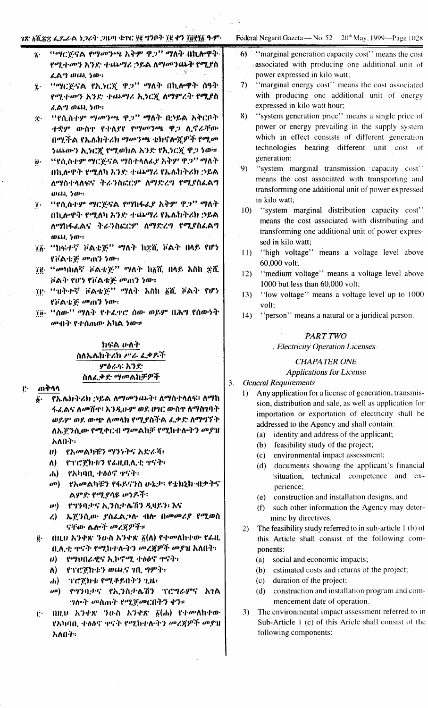### ገጽ አሺጽቋ ፌዴራል ነጋሪት ጋዜጣ ቁተር ፶፪ ግንቦት ፲፪ ቀን ፲፱፻፶፩ ዓ-ም

- "ማርጅናል የማመንጫ አቅም ዋ*ጋ*" ማለት በኪሎዋት የሚተመን እንድ ተጨማሪ ኃይል ለማመንጨት የሚያስ ፈልግ ወጨ ነው።
- "ማርጅናል የኢንርኟ ዋጋ" ማለት በኪሎዋት ሰዓት ij. የሚተመን እንድ ተጨማሪ ኢንርጇ ለማምረት የሚያስ ፈልግ ወጨ ነው።
- **በሚሲስተም ማመንጫ ዋጋ**ን **ማለት በኃይል አቅርቦት**  $\mathbf{r}$  . ተቋም ውስዋ የተለያየ የማመንጫ ዋጋ ሊኖራቸው በሚችል የኤሌክትሪክ ማመንጫ ቴክኖሎጆዎች የሚመ ነጨውን ኢንርጅ የሚወክል አንድ የኢንርጅ ዋጋ ነው።
- "የሲስተም ማርጅናል ማስተላለፊያ አቅም ዋጋ" ማለት ij٠ በኪሎዋት የሚለካ አንድ ተጨማሪ የኤሌክትሪክ ኃይል ለማስተላለፍና ትራንስፎርም ለማድረግ የሚያስፌልግ  $(0.65, 5.0)$
- "የሲስተም ማርጅናል የማከፋፌያ አቅም ዋጋ" ማለት  $\dddot{\mathbf{r}}$ . በኪሎዋት የሚለካ አንድ ተጨማሪ የኤሌክትሪክ ኃይል ለማከፋፈልና ትራንስፎርም ለማድረግ የሚያስፌልግ  $0.60, 50$ .
- 78 "ከፍተኛ ቮልቴጅ" ማለት ከቋሺ ቮልት በላይ የሆነ የቮልቴጅ መጠን ነው።
- ፲፱- "መካከለኛ ቮልቴጅ" ማለት ከ፩ሺ በላይ እስከ ድሺ ቮልት የሆነ የቮልቴጅ መጠን ነው።
- 70 "ዝቅተኛ ቮልቴጅ" ማለት እስከ ፩ሺ ቮልት የሆነ የቮልቴጅ መጠን ነው።
- ፲፱· "ስው'' ማለት የተፈጥሮ ሰው ወይም በሕግ የሰውነት *ሙ*ብት የተሰጠው አካል *ነ*ው።

## れなる かんか ስለኤሌክትሪክ ሥራ ፌቃዶች ምዕራፍ አንድ ስለፌቃድ ማመልከቻዎች

#### ጠቅሳሳ i٠,

- የኤሌክትሪክ ኃይል ለማመንጨት፡ ለማስተላለፍ፡ ለማከ ፋፌልና ለመሽዋ፡ እንዲሁም ወደ ሀገር ውስዋ ለማስገባት ወይም ወደ ውጭ ለመላክ የሚያስችል ፌቃድ ለማግኘት ለኤኞንሲው የሚቀርብ ማመልከቻ የሚከተሉትን መያዝ አለበት።
	- ሀ) የአመልካቹን ማንነትና አድራሻ፡
	- ለ) -የፕሮጀክቱን የፌዚቢሊቲ ተናት፡
	- $h$ ) የአካባቢ ተዕዕኖ ዋናት፡
	- @) የአመልካቹን የፋይናንስ ሁኔታ፡ የቴክኒክ ብቃትና" ልምድ የሚደሳዩ ቍነዶች፡
	- .የማንባታና ኢንስታሌሽን ዲዛይን፡ እና  $\boldsymbol{\boldsymbol{\nu}})$
	- ኤጀንሲው ያስፌልጋሉ ብሎ በመመሪያ የሚወስ  $\lambda$ ናቸው ሴሎች መረጃዎች።
	- . በዚህ አንቀጽ ንዑስ አንቀጽ  $\tilde{g}(\mathsf{A})$  የተመለከተው የፊዚ ë٠ ቢሊቲ ዋናት የሚከተሉትን መረጃዎች መያዝ አለበት፡-
		- ሀ) የማህበራዊና ኢኮኖሚ ተፅዕኖ ዋናት፡
		- $\Lambda$ ) የፕሮጀክቱን ወጨና ነቢ ግምት፡
		- ፕሮጀክቱ የሚቆይበትን ጊዜ፡  $\mathbf{d}$
		- $\omega$ <sup>0</sup>) የግንባታና የኢንስታሴሽን ፕሮግራምና እንል *ግ*ሎት መስጠት የሚጀመርበትን ቀን።
	- በዚህ አንቀጽ ንዑስ አንቀጽ  $\breve{\mathfrak{g}}(d)$  የተመለከተው j÷. የአካባቢ ተፅዕኖ ቀናት የሚከተሉትን መረጃዎች መያዝ አለበት።

### Federal Negarit Gazeta — No. 52 20<sup>th</sup> May, 1999—Page 1028

- 6) "marginal generation capacity cost" means the cost" associated with producing one additional unit of power expressed in kilo watt;
- $7)$ "marginal energy cost" means the cost associated with producing one additional unit of energy expressed in kilo watt hour;
- "system generation price" means a single price of  $8)$ power or energy prevailing in the supply system which in effect consists of different generation technologies bearing different unit cost of generation;
- $9)$ "system marginal transmission capacity cost" means the cost associated with transporting and transforming one additional unit of power expressed in kilo watt:
- $10<sub>1</sub>$ "system marginal distribution capacity cost" means the cost associated with distributing and transforming one additional unit of power expressed in kilo watt;
- "high voltage" means a voltage level above  $11$ 60,000 volt;
- "medium voltage" means a voltage level above  $12)$ 1000 but less than 60,000 volt;
- "low voltage" means a voltage level up to 1000  $13)$ volt:
- "person" means a natural or a juridical person.  $(4)$

### PART TWO

### , Electricity Operation Licenses

### **CHAPATER ONE**

### **Applications for License**

#### $3.$ **General Requirements**

- Any application for a license of generation, transmis- $\mathbf{D}$ sion, distribution and sale, as well as application for importation or exportation of electricity shall be addressed to the Agency and shall contain:
	- (a) identity and address of the applicant;
	- (b) feasibility study of the project;
	- environmental impact assessment;  $(c)$
	- $(d)$ documents showing the applicant's financial situation, technical competence and experience;
	- (e) construction and installation designs, and
	- such other information the Agency may deter- $(f)$ mine by directives.
- The feasibility study referred to in sub-article 1 (b) of  $2)$ this Article shall consist of the following components:
	- (a) social and economic impacts;
	- (b) estimated costs and returns of the project;
	- $(c)$ duration of the project;
	- (d) construction and installation program and commencement date of operation.
- The environmental impact assessment referred to in  $3)$ Sub-Article 1 (c) of this Aricle shall consist of the following components: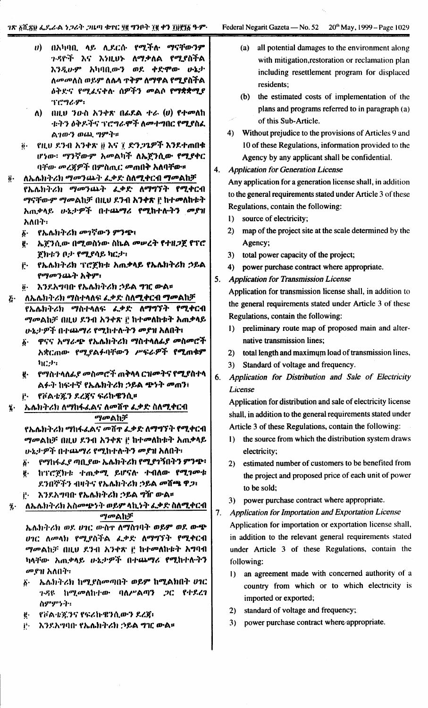- በአካባቢ ላይ ሊደርሱ የሚችሉ ማናቸውንም  $\boldsymbol{v}$ ጉዳዮች እና እነዚህኑ ለማቃለል የሚያስችል እንዲሁም አካባቢውን ወደ ቀድሞው ሁኔታ ለ*መመ*ለስ ወይም ለሴላ **ተቅም ለማዋል የሚ**ያስችል ዕቅድና የሚፈናቀሉ ሰዎችን መልሶ የማቋቋሚያ ፕሮግራም፡
- በዚህ ንውስ አንቀጽ በፌደል ተራ  $(v)$  የተመለከ ለ) -ቱትን ዕቅዶችና ፕሮግራሞች ለመተግበር የሚያስፈ ልገውን ወጨ ግምት፡፡
- የዚህ ደንብ አንቀጽ ፱ እና ፲ ድንጋጌዎች እንደተጠበቁ ö. ሆነው፡ *ማን*ኛውም አመልካች ለኤጀንሲው የሚያቀር ባቸው መረጀዎች በምስጢር መጠበቅ አለባቸው።
- ለኤሌክትሪክ ማመንጨት ፌቃድ ስለሚቀርብ ማመልከቻ  $\ddot{\mathbf{0}}$ . የኤሌክትሪክ *ማመ*ንጨት ፌቃድ ለማግኘት የሚቀርብ ማናቸውም ማመልከቻ በዚህ ደንብ አንቀጽ ቮ ከተመለከቱት አጠቃላይ ሁኔታዎች በተጨማሪ የሚከተሉትን መያዝ አለበት።
	- የኤሌክትሪክ መገኛውን ምንጭ  $\boldsymbol{\delta}$ .
	- ኤጀንሲው በሚወስነው ስኬል መሠረት የተዘጋጀ የፕሮ g. ጀክቱን ቦታ የሚያሳይ ካርታ፣
	- የኤሌክትሪክ ፕሮጀክቱ አጠቃላይ የኤሌክትሪክ ኃይል Ë. የማመንጨት አቅም፡
	- እንደአግባቡ የኤሌክትሪክ ኃይል ግዢ ውል። ö.
- ለኤሌክትሪክ ማስተላለፍ ፌቃድ ስለሚቀርብ ማመልከቻ Ę. የኤሌክትሪክ ማስተላለፍ ፌቃድ ለማግኘት የሚቀርብ *ማመ*ልከቻ በዚህ ደንብ አንቀጽ ፫ ከተመለከቱት አጠቃላይ ሁኔታዎች በተጨማሪ የሚከተሉትን መያዝ አለበት፤
	- ዋናና አማራጭ የኤሌክትሪክ ማስተላለፊያ መስመሮች δ. አቋርጠው የሚያልፉባቸውን ሥፍራዎች የሚጠቁም  $h$  $C$
	- g. የማስተላለፊያ መስመሮች ጠቅላላ ርዝመትና የሚያስተላ ልፉት ከፍተኛ የኤሌክትሪክ ኃይል ጭነት መጠን፣
	- የቮልቴጁን ደረጃና ፍሪኩዌንሲ።
- ኤሌክትሪክ ለማከፋፌልና ለመሸዋ ፌቃድ ስለሚቀርብ ï. *ማመ*ልከቻ

የኤሌክትሪክ ማከፋፌልና መሸተ ፌቃድ ለማግኘት የሚቀርብ ማመልከቻ በዚህ ደንብ አንቀጽ ij ከተመለከቱት አጠቃላይ ሁኔታዎች በተጨማሪ የሚከተሉትን መያዝ አለበት፣

- የማከፋፌያ ጣቢያው ኤሌክትሪክ የሚያገኝበትን ምንጭ፡  $\ddot{\bm{b}}$ ከፕሮጀክቱ ተጠቃሚ ይሆናሉ ተብለው የሚገመቱ ę.
- ደንበኞችን ብዛትና የኤሌክትሪክ ኃይል መሸጫ ዋጋ፣
- እንደአግባበ የኤሌክትሪክ ኃይል ግዥ ውል። j٠.
- ለኤሌክትሪክ አስመጭንት ወይም ላኪንት ፌቃድ ስለሚቀርብ  $\ddot{\eta}$ .

ツゅんりょ

ኤሌክትሪክ ወደ ሀገር ውስኖ ለማስገባት ወይም ወደ ውጭ *ሀገር ለመላክ የሚያስችል ፌ*ቃድ ለማግኘት የሚቀርብ *ማመ*ልከቻ በዚህ ደንብ አንቀጽ ፫ ከተ**መለ**ከቱት አግባብ ካላቸው አጠቃላይ ሁኔታዎች በተጨማሪ የሚከተሉትን መያዝ አለበት።

- ኤሌክትሪክ ከሚያስመጣበት ወይም ከሚልክበት ሀገር  $\ddot{\mathbf{b}}$ . ጉዳዩ ከሚመለከተው ባለሥልጣን ጋር የተደረገ ስምምንት።
- የቮልቴጂንና የፍሪኩዌንሲውን ደረጀ፡ ë.
- እንደአግባቡ የኤሌክትሪክ ኃይል ግዢ ውል። j.
- all potential damages to the environment along  $(a)$ with mitigation, restoration or reclamation plan including resettlement program for displaced residents;
- (b) the estimated costs of implementation of the plans and programs referred to in paragraph (a) of this Sub-Article.
- 4) Without prejudice to the provisions of Articles 9 and 10 of these Regulations, information provided to the Agency by any applicant shall be confidential.

4. **Application for Generation License** 

> Any application for a generation license shall, in addition to the general requirements stated under Article 3 of these Regulations, contain the following:

- 1) source of electricity;
- 2) map of the project site at the scale determined by the Agency;
- 3) total power capacity of the project;
- 4) power purchase contract where appropriate.
- 5. **Application for Transmission License**

Application for transmission license shall, in addition to the general requirements stated under Article 3 of these Regulations, contain the following:

- preliminary route map of proposed main and alter- $\bf{D}$ native transmission lines:
- 2) total length and maximum load of transmission lines,
- 3) Standard of voltage and frequency.
- 6. Application for Distribution and Sale of Electricity License

Application for distribution and sale of electricity license shall, in addition to the general requirements stated under Article 3 of these Regulations, contain the following:

- 1) the source from which the distribution system draws electricity;
- estimated number of customers to be benefited from  $2)$ the project and proposed price of each unit of power to be sold;
- 3) power purchase contract where appropriate.

 $7.$ 

- **Application for Importation and Exportation License** Application for importation or exportation license shall, in addition to the relevant general requirements stated under Article 3 of these Regulations, contain the following:
- an agreement made with concerned authority of a  $\mathbf{D}$ country from which or to which electricity is imported or exported;
- 2) standard of voltage and frequency;
- 3) power purchase contract where appropriate.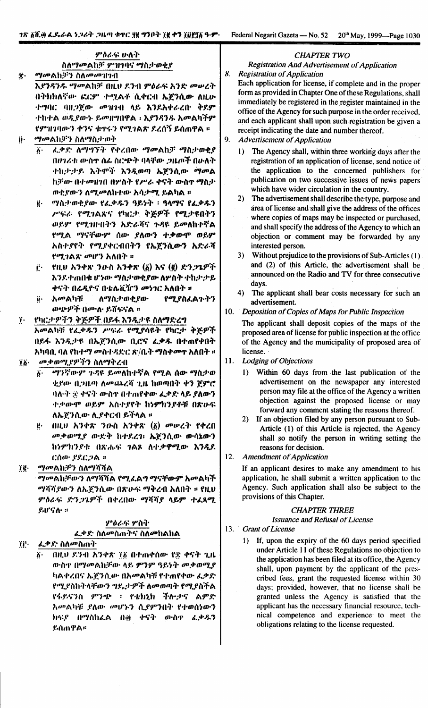Federal Negarit Gazeta — No. 52 20th May, 1999—Page 1030

### ምዕራፍ ሁለት ስለማመልከቻ ምዝገባና ማስታወቂያ

**穴** *ማመ*ልከቻን ስለመመዝገብ

እያንዳንዱ ማመልከቻ በዚህ ደንብ ምዕራፍ እንድ መሠረት በትክክለኛው ፎርም ተሟልቶ ሲቀርብ ኤጀንሲው ለዚሁ ተግባር ባዘጋጀው መዝገብ ላይ እንደአቀራረቡ ቅደም ተከተል ወዲየውኑ ይመዘግበዋል ፡ እያንዳንዱ አመልካችም የምዝገባውን ቀንና ቁዋሩን የሚገልጽ ደረሰኝ ይሰጠዋል ፡፡ *ማመ*ልክቻን ስለማስታወቅ ij.

- ፌቃድ ለማግኘት የቀረበው ማመልከቻ ማስታወቂያ ö٠ በሆነራቱ ውስዋ ሰፊ ስርጭት ባላቸው ጋዜጦች በሁለት ተከታታይ አትሞች እንዲወጣ ኤጀንሲው ማመል ከቻው በተመዘገበ በሦስት የሥራ ቀናት ውስኖ ማስታ ወቂያውን ለ*ሚመ*ለከተው አሳታ**ሚ ይልካል** ፡፡
- ë "latoreen ez. est 9854 : 90% ez. est ሥፍራ የሚገልጽና የካርታ ቅጅዎች የሚታዩበትን ወይም የሚገዙበትን አድራሻና ጉዳዩ ይመለከተኛል የሚል ማናቸውም ሰው ያለውን ተቃውሞ ወይም አስተያየት የሚያቀርብበትን የኤጀንሲውን አድራሻ የሚገልጽ መሆን አለበት ።
- የዚህ አንቀጽ ንውስ አንቀጽ (፩) እና (፪) ድን*ጋጌዎች* jŀ. እንደተጠበቁ ሆነው ማስታወቂያው ለዎስት ተከታታይ ቀናት በሬዲዮና በቴሌቪዥን መነገር አለበት ።
- *እመ*ልካቹ ለማስታወቂያው የሚያስፈልጉትን ö. መጭዎች በሙሉ ይሸፍናል ።
- $\dddot{\mathbf{i}}$ . የካርታዎችን ቅጅዎች በይፋ እንዲታዩ ስለማድረግ አመልካቹ የፌቃዱን ሥፍራ የሚያሳዩት የካርታ ቅጅዎች በይፋ እንዲታዩ በኤጀንሲው ቢሮና ፌቃዱ በተጠየቀበት አካባቢ ባለ የከተማ መስተዳድር ጽ/ቤት ማስቀመጥ አለበት ።  $i\delta$ መቃወሚያዎችን ስለማቅረብ
	- ማንኛውም ጉዳዩ ይመለከተኛል የሚል ሰው ማስታወ  $\ddot{\bm{b}}$ . ቂያው በጋዜጣ ለመጨረሻ ጊዜ ከወጣበት ቀን ጀምሮ
		- ባለ-ት ቋ ቀናት ውስተ በተጠየቀው ፌቃድ ላይ ያለውን ተቃውሞ ወይም አስተያየት ከነምክንያቶቹ በጽሁፍ ለኤጀንሲው ሲያቀርብ ይችላል ፡፡ በዚህ አንቀጽ ንዑስ አንቀጽ (፩) መሠረት የቀረበ ë.
		- መቃወሚያ ውድቅ ከተደረገ፡ ኤጀንሲው ውሳኔውን ከነምክንድቱ በጽሑፍ ንልጾ ለተቃዋሚው እንዲደ ርሰው ያደርጋል ።

*ማመ*ልክቻን ስለማሻሻል ïğ.

*ማመ*ልከቻውን ለማሻሻል የሚፈልግ ማናቸውም አመልካች ማሻሻደውን ለኤጀንሲው በጽሁፍ ማቅረብ አለበት ፡፡ የዚህ ምዕራፍ ድንጋጌዎች በቀረበው ማሻሻያ ላይም ተፈጸሚ ይሆናሉ ፡፡

### ምዕራፍ ሦስት ፌቃድ ስለመስጠትና ስለመከልከል

ïj∙ ፌቃድ ስለመስጠት

በዚህ ደንብ አንቀጽ ፲፩ በተጠቀሰው የቋ ቀናት ጊዜ ውስዋ በማመልከቻው ላይ ምንም ዓይነት መቃወሚያ ካልቀረበና ኤጀንሲው በአመልካቹ የተጠየቀው ፌቃድ የሚደስከትላቸውን ግዴታዎች ለመወጣት የሚደስችል የፋይናንስ ምንጭ ፡ የቴክኒክ ችሎታና ልምድ አመልካቹ ያለው መሆኑን ሲያምንበት የተወሰነውን ክፍያ በማስከሬል በ፴ ቀናት ውስኖ ፌቃዱን ይሰጠዋል።

### **CHAPTER TWO**

**Registration And Advertisement of Application Registration of Application** 

8. Each application for license, if complete and in the proper form as provided in Chapter One of these Regulations, shall immediately be registered in the register maintained in the office of the Agency for such purpose in the order received, and each applicant shall upon such registration be given a receipt indicating the date and number thereof.

 $9<sub>1</sub>$ **Advertisement of Application** 

- The Agency shall, within three working days after the  $\mathbf{D}$ registration of an application of license, send notice of the application to the concerned publishers for publication on two successive issues of news papers which have wider circulation in the country.
- $2)$ The advertisement shall describe the type, purpose and area of license and shall give the address of the offices where copies of maps may be inspected or purchased, and shall specify the address of the Agency to which an objection or comment may be forwarded by any interested person.
- Without prejudice to the provisions of Sub-Articles  $(1)$ .  $3)$ and (2) of this Article, the advertisement shall be announced on the Radio and TV for three consecutive days.
- The applicant shall bear costs necessary for such an  $4)$ advertisement.

### 10. Deposition of Copies of Maps for Public Inspection

The applicant shall deposit copies of the maps of the proposed area of license for public inspection at the office of the Agency and the municipality of proposed area of license.

- $11.$ **Lodging of Objections** 
	- 1) Within 60 days from the last publication of the advertisement on the newspaper any interested person may file at the office of the Agency a written objection against the proposed license or may forward any comment stating the reasons thereof.
	- 2) If an objection filed by any person pursuant to Sub-Article (1) of this Article is rejected, the Agency shall so notify the person in writing setting the reasons for decision.
- $12<sup>7</sup>$ **Amendment of Application**

 $13.$ 

If an applicant desires to make any amendment to his application, he shall submit a written application to the Agency. Such application shall also be subject to the provisions of this Chapter.

### **CHAPTER THREE**

**Issuance and Refusal of License Grant of License** 

If, upon the expiry of the 60 days period specified  $\mathbf{D}$ under Article 11 of these Regulations no objection to the application has been filed at its office, the Agency shall, upon payment by the applicant of the prescribed fees, grant the requested license within 30 days; provided, however, that no license shall be granted unless the Agency is satisfied that the applicant has the necessary financial resource, technical competence and experience to meet the obligations relating to the license requested.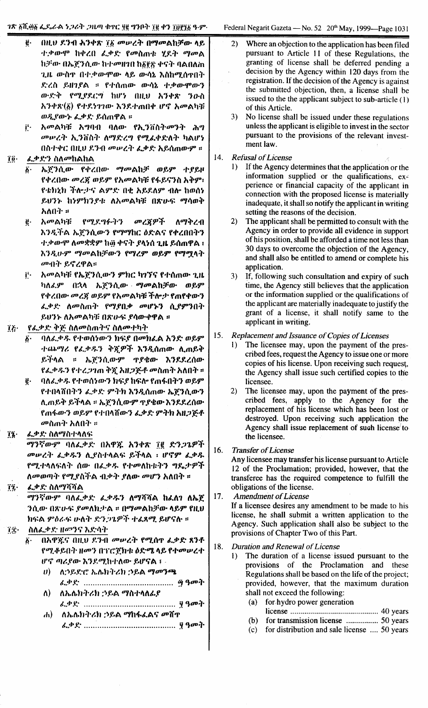- በዚህ ደንብ ሕንቀጽ ፲፩ መሥረት በማመልከቻው ላይ  $\ddot{\mathbf{e}}\cdot$ ተቃውሞ ከቀረበ ፌቃድ የመስጠቱ ሂደት ማመል ከቻው በኤጀንሲው ከተመዘገበ ከδየጽ ቀናት ባልበለጠ ጊዜ ውስዋ በተ.ቀውሞው ላይ ውሳኔ እስከሚሰዋበት ድረስ ይዘገያል ። የተሰጠው ውሳኔ ተቃውሞውን ውድቅ የሚደደርግ ከሆነ በዚህ አንቀጽ ንዑስ አንቀጽ(፩) የተደነገገው እንደተጠበቀ ሆኖ አመልካቹ ወዲየውኑ ፌቃድ ይሰጠዋል ፡፡
- አመልካቹ አግባብ ባለው የኢንቨስትመንት ሕግ ŗ. መሥረት ኢንቨስት ለማድረግ የሚፈቀድለት ካልሆነ በስተቀር በዚህ ደንብ መሠረት ፌቃድ አይሰጠውም ።

#### $70·$ ፌቃድን ስለ*መ*ከልከል

- ኤጀንሲው የቀረበው ማመልከቻ ወይም ተያይዞ δ. የቀረበው መረጀ ወይም የአመልካቹ የፋይናንስ አቅም፣ የቴክኒክ ችሎታና ልምድ በቂ አይደለም ብሎ ከወሰነ ይህንኑ ከነምክንያቱ ለአመልካቹ በጽሁፍ ማሳወቅ አለበት ፡፡
- አመልካቹ ġ. የሚደግፉትን መረጀዎች ለማቅረብ እንዲችል ኤጀንሲውን የማማከር ዕድልና የቀረበበትን ተ.ቃውሞ ለመቋቋም ከ፴ ቀናት ያላነሰ ጊዜ ይሰጠዋል ፣ እንዲሁም ማመልከቻውን የማረም ወይም የማሟላት መብት ይኖረዋል።
- Ë. አመልካቹ የኤጀንሲውን ምክር ካንኘና የተሰጠው ጊዜ ካለፈም በኋላ ኤ**ጀንሲው ማመልከቻው ወይ**ም የቀረበው መረጀ ወይም የአመልካቹ ችሎታ የጠየቀውን ፌቃድ ለመስጠት የማደበቃ መሆኑን ሲያምንበት ይህንኑ ለአመልካቹ በጽሁፍ ያሳውቀዋል ፡፡
- የፌቃድ ቅጅ ስለመስጠትና ስለመተካት ïk∙
	- ባለፌቃዱ የተወሰነውን ክፍያ በመክፌል አንድ ወይም  $\ddot{\boldsymbol{\delta}}$ . ተጨማሪ የፌቃዱን ቅጅዎች እንዲሰጠው ሊጠይቅ ይችላል ። ኤሮንሲውም ጥያቄው እንደደረሰው የፌቃዱን የተረጋገጠ ቅጇ አዘጋጅቶ መስጠት አለበት ።
	- ባለፌቃዱ የተወሰነውን ክፍያ ከፍሎ የጠፋበትን ወይም ę. የተበላሸበትን ፌቃድ ምትክ እንዲሰጠው ኤጀንሲውን ሊጠይቅ ይችላል ፡፡ ኤ፫ንሲውም ጥያቄው እንደደረሰው የጠፋውን ወይም የተበላሽውን ፌቃድ ምትክ አዘጋጅቶ *መ*ስጠት አለበት ፡፡
- ፌቃድ ስለማስተላለፍ  $72 -$

ማንኛውም ባለፌቃድ በአዋጁ አንቀጽ ፲፪ ድንጋጌዎች መሥረት ፌቃዱን ሊያስተላልፍ ይችላል ፡ ሆኖም ፌቃዱ የሚተላለፍለት ሰው በፌቃዱ የተመለከቱትን ግዴታዎች ለመወጣት የሚያስችል ብቃት ያለው መሆን አለበት ።

ፌቃድ ስለማሻሻል  $\overline{1}\overline{2}$ .

> ማንኛውም ባለፌቃድ ፌቃዱን ለማሻሻል ከፌስን ለኤጀ ንሲው በጽሁፍ ደመለክታል ፡፡ በማመልከቻው ላይም የዚህ ክፍል ምዕራፍ ሁለት ድንጋጌዎች ተፈጸሚ ይሆናሉ ።

#### ስለፌቃድ ዘማንና እድሳት Tr.

- በአዋጀና በዚህ ደንብ መሠረት የሚሰዋ ፌቃድ ጸንቶ Ϊ. የሚቆይበት ዘመን በፕሮጀክቱ ዕድሜ ላይ የተመሠረተ ሆኖ ጣሪያው እንደሚከተለው ይሆናል ፤ -
	- $\boldsymbol{\theta}$ ለ:ንይድሮ ኤሌክትሪክ :ንይል ማመንጫ
	- ለኤሌክትሪክ ኃይል ማስተላለፊያ ለ)
	- $\mathbf{d}$ ለኤሌክትሪክ ኃይል ማከፋፌልና መሸዋ
- $2)$ Where an objection to the application has been filed pursuant to Article 11 of these Regulations, the granting of license shall be deferred pending a decision by the Agency within 120 days from the registration. If the decision of the Agency is against the submitted objection, then, a license shall be issued to the the applicant subject to sub-article  $(1)$ of this Article.
- $3)$ No license shall be issued under these regulations unless the applicant is eligible to invest in the sector pursuant to the provisions of the relevant investment law.
- $14.$ **Refusal of License** 
	- If the Agency determines that the application or the  $\mathbf{D}$ information supplied or the qualifications, experience or financial capacity of the applicant in connection with the proposed license is materially inadequate, it shall so notify the applicant in writing setting the reasons of the decision.
	- $2)$ The applicant shall be permitted to consult with the Agency in order to provide all evidence in support of his position, shall be afforded a time not less than 30 days to overcome the objection of the Agency, and shall also be entitled to amend or complete his application.
	- $3)$ If, following such consultation and expiry of such time, the Agency still believes that the application or the information supplied or the qualifications of the applicant are materially inadequate to justify the grant of a license, it shall notify same to the applicant in writing.
- Replacement and Issuance of Copies of Licenses 15.
	- The licensee may, upon the payment of the pres- $\mathbf{D}$ cribed fees, request the Agency to issue one or more copies of his license. Upon receiving such request, the Agency shall issue such certified copies to the licensee.
	- $2)$ The licensee may, upon the payment of the prescribed fees, apply to the Agency for the replacement of his license which has been lost or destroyed. Upon receiving such application the Agency shall issue replacement of such license to the licensee.
- 16. **Transfer of License**

Any licensee may transfer his license pursuant to Article 12 of the Proclamation; provided, however, that the transferee has the required competence to fulfill the obligations of the license.

- 17. **Amendment of License** If a licensee desires any amendment to be made to his license, he shall submit a written application to the Agency. Such application shall also be subject to the provisions of Chapter Two of this Part.
- 18. **Duration and Renewal of License** 
	- The duration of a license issued pursuant to the  $\mathbf{D}$ provisions of the Proclamation and these Regulations shall be based on the life of the project; provided, however, that the maximum duration shall not exceed the following:
		- for hydro power generation  $(a)$
		- $(b)$ for transmission license .................. 50 years
		- $(c)$ for distribution and sale license .... 50 years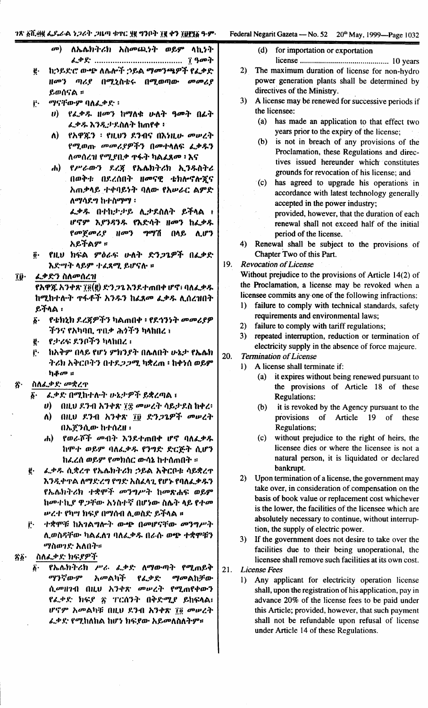### ገጽ ፩ሺ.፴፱ ፌዶራል ነጋሪት ጋዜጣ ቁተር ፶፱ ግንቦት ፲፱ ቀን ፲፱፻፶፩ ዓ.ም.

Federal Negarit Gazeta — No. 52 20<sup>th</sup> May, 1999—Page 1032

- ለኤሌክትሪክ አስመጨንት ወይም ላኪነት  $\mathbf{a}$
- ከኃይደነሮ ውጭ ለሴሎች ኃይል ማመንጫዎች የፌቃድ ġ. ዘመን ጣሪያ በሚኒስቴሩ በሚወጣው መመሪያ ይወሰናል ፡፡
- ማናቸውም ባለፌቃድ ፡ j.
	- ሀ) የፌቃዱ ዘመን ከማለቁ ሁለት ዓመት በፌት ፌቃዱ እንዲታደስለት ከጠየቀ ፡
	- የአዋጇን ፡ የዚህን ደንብና በእነዚሁ መሠረት  $\lambda$ የሚወጡ መመሪያዎችን በመተላለፍ ፈቃዱን ለመሰረዝ የሚደበቃ ዋፋት ካልፈጸመ ፡ እና
	- የሥራውን ደረጃ የኤሌክትሪክ ኢንዱስትሪ  $\mathbf{d}$ በወቅቱ በደረሰበት ዘመናዊ ቴክሎኖሎጆና አጠቃላይ ተቀባይነት ባለው የአሥራር ልምድ ለማሳደግ ከተስማማ ፡
		- ፌቃዱ በተከታታይ ሊታደስለት ይችላል ፣ ሆኖም እያንዳንዱ የእድሳት ዘመን ከፌቃዱ የመጀመሪያ ዘመን ማግሽ በላይ ሊሆን አይችልም ።
- የዚህ ክፍል ምዕራፍ ሁለት ድንጋጌዎች በፌቃድ  $\ddot{\bm{\theta}}$ . እድሣት ላይም ተፈጸሚ ይሆናሉ ።

#### ĩŷ. ፌቃድን ስለመሰረዝ

የአዋጇ አንቀጽ ፲፬(፱) ድንጋጌ እንደተጠበቀ ሆኖ፣ ባለፌቃዱ ከሚከተሉት ተፋቶች አንዱን ከፌጸመ ፌቃዱ ሊሰረዝበት ይችላል ፡

- የቴክኒክ ደረጃዎችን ካልጠበቀ ፣ የደኅንነት መመሪያዎ  $\boldsymbol{\delta}$  . ችንና የአካባቢ ተበቃ ሕጎችን ካላከበረ ፣
- የታሪፍ ደንቦችን ካላከበረ ፡ ę.
- ከአቅም በላይ የሆነ ምክንያት በሴለበት ሁኔታ የኤሌክ r. ትሪክ አቅርቦትን በተደ*ጋጋሚ* ካቋረጠ ፡ ከቀነሰ ወይም ካቆሙ ።

#### ስለፌቃድ መቋረዋ ጽ۰

- ፌቃድ በሚከተሉት ሁኔታዎች ይቋረጣል ፤ አ.
	- ሀ) በዚህ ደንብ አንቀጽ ፲፰ መሠረት ሳይታደስ ከቀረ፡
	- በዚህ ደንብ አንቀጽ ፲፱ ድንጋጌዎች መሠረት ለ) -በኤጀንሲው ከተሰረዘ ፡
	- የወራሾች መብት እንደተጠበቀ ሆኖ ባለፌቃዱ ሐ) ከሞተ ወይም ባለፌቃዱ የንግድ ድርጅት ሲሆን ከፌረሰ ወይም የመክሰር ውሳኔ ከተሰጠበት ።
- ġ. ፌቃዱ ሲቋረዋ የኤሌክትሪክ ኃይል አቅርቦቱ ሳይቋረዋ እንዲቀጥል ለማድረግ የግድ አስፈላጊ የሆኑ የባለፌቃዱን የኤሌክትሪክ ተቋሞች መንግሥት ከመጽሐፍ ወይም ከመተኪያ ዋጋቸው አነስተኛ በሆነው ስሌት ላይ የተመ ሥረተ የካሣ ክፍያ በማሰብ ሊወስድ ይችላል ።
- ተቋሞቹ ከአገልግሎት ውጭ በመሆናቸው መንግሥት Ë. ሊወስዳቸው ካልፌስን ባለፌቃዱ በራሱ ወጭ ተቋሞቹን ማስወንድ አለበት።

#### ስለፌቃድ ክፍያዎች <u>፟</u>፟፟፟*፟*/፟

የኤሌክትሪክ ሥራ ፌቃድ ለማውጣት የሚጠይቅ ß٠ ማንኛውም *እመ*ልካች የፌቃድ *ማመ*ልከቻው ሲመዘንብ በዚህ አንቀጽ መሠረት የሚጠየቀውን የፌቃድ ክፍደ ጽ ፐርሰንት በቅድሚያ ይከፍላል፤ ሆኖም አመልካቹ በዚህ ደንብ አንቀጽ ፲፬ መሠረት ፌቃድ የሚከለከል ከሆነ ክፍደው አይመለስለትም።

- $(d)$ for importation or exportation
	-
- $2)$ The maximum duration of license for non-hydro power generation plants shall be determined by directives of the Ministry.
- $3)$ A license may be renewed for successive periods if the licensee:
	- (a) has made an application to that effect two years prior to the expiry of the license;
	- is not in breach of any provisions of the  $(h)$ Proclamation, these Regulations and directives issued hereunder which constitutes grounds for revocation of his license; and
	- $(c)$ has agreed to upgrade his operations in accordance with latest technology generally accepted in the power industry;

provided, however, that the duration of each renewal shall not exceed half of the initial period of the license.

 $4)$ Renewal shall be subject to the provisions of Chapter Two of this Part.

19. **Revocation of License** 

> Without prejudice to the provisions of Article  $14(2)$  of the Proclamation, a license may be revoked when a licensee commits any one of the following infractions:

- failure to comply with technical standards, safety  $1)$ requirements and environmental laws;
- $2)$ failure to comply with tariff regulations;
- $3)$ repeated interruption, reduction or termination of electricity supply in the absence of force majeure.

#### 20. **Termination of License**  $\bf{D}$

- A license shall terminate if: (a) it expires without being renewed pursuant to the provisions of Article 18 of these
- **Regulations:**  $(b)$ it is revoked by the Agency pursuant to the provisions of Article 19 of these Regulations;
- (c) without prejudice to the right of heirs, the licensee dies or where the licensee is not a natural person, it is liquidated or declared bankrupt.
- $2)$ Upon termination of a license, the government may take over, in consideration of compensation on the basis of book value or replacement cost whichever is the lower, the facilities of the licensee which are absolutely necessary to continue, without interruption, the supply of electric power.
- If the government does not desire to take over the  $3)$ facilities due to their being unoperational, the licensee shall remove such facilities at its own cost.
- $21.$ **License Fees** 
	- Any applicant for electricity operation license  $1)$ shall, upon the registration of his application, pay in advance 20% of the license fees to be paid under this Article; provided, however, that such payment shall not be refundable upon refusal of license under Article 14 of these Regulations.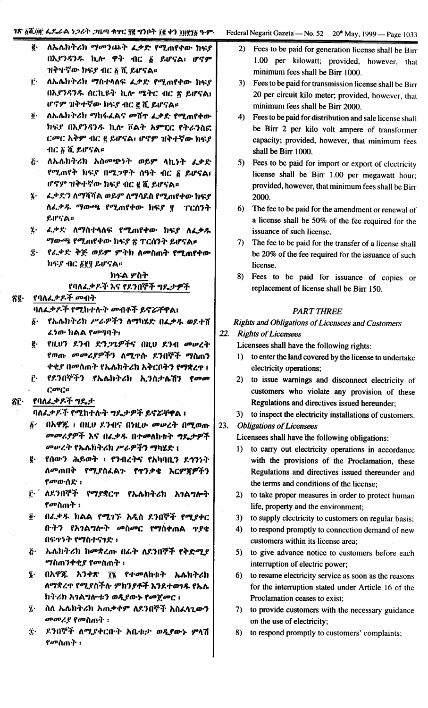# ገጽ ፩ሺ.፴፫ ፌዴራል ነጋሪት ጋዜጣ ቁተር ፶፪ ግንቦት ፲፪ ቀን ፲፱፻፶፩ ዓ.ም.

- ለኤሌክትሪክ ማመንጨት ፈቃድ የሚጠየቀው ክፍደ ġ. በእያንዳንዱ ኪሎ ዋት ብር δ ይሆናል፣ ሆኖም ዝቅተኛው ክፍደ ብር ፩ ሺ ይሆናል።
- $\mathbf{r}$ . ለኤሌክትሪክ ማስተላለፍ ፌቃድ የሚጠየቀው ክፍያ በእያንዳንዱ ሰርኪዩት ኪሎ ሜትር ብር ጽ ይሆናል፤ ሆኖም ዝቅተኛው ክፍደ ብር ፪ ሺ ይሆናል።
- $\dddot{\boldsymbol{\theta}}$  . ለኤሌክትሪክ ማከፋፌልና መሸተ ፌቃድ የሚጠየቀው ክፍደ በእያንዳንዱ ኪሎ ቮልት አምፒር የትራንስፎ ርመር አቅም ብር ፪ ይሆናል፣ ሆኖም ዝቅተኛው ክፍያ ብር ፩ ሺ ይሆናል።
- ለኤሌክትሪክ አስመጭነት ወይም ላኪነት ፈቃድ  $\ddot{G}$ . የሚጠየቅ ክፍያ በሜጋዋት ሰዓት ብር ፩ ይሆናል፤ ሆኖም ዝቅተኛው ክፍያ ብር ፪ ሺ ይሆናል።
- ፯· ፌ.ቃ.ድን ለማሻሻል ወይም ለማሳደስ የሚጠየቀው ክፍያ ለፌቃዱ ማውጫ የሚጠየቀው ክፍያ ፶ ፐርሰንት ይሆናል።
- 7. ፌቃድ ለማስተላለፍ የሚጠየቀው ክፍያ ለፌቃዱ ማውጫ የሚጠየቀው ክፍያ ጽ ፐርሰንት ይሆናል፡፡
- ፰· *የሌቃድ ቅጅ ወይም ምትክ ለመ*ስጠት የሚጠየቀው ክፍያ ብር ፩፻፶ ይሆናል።

ክፍል ሦስት የባለፌቃዶች እና የደንበ<mark>ኛች *ግ*ዴ</mark>ታዎች

#### የባለፌቃዶች መብት ጽ፪·

ባለፌቃዶች የሚከተሉት መብቶች ይኖሯቸዋል፣

- የኤሌክትሪክ ሥራዎችን ለማካሄድ በፌቃዱ ወደተሸ  $\vec{b}$ . ፈነው ክልል የመግባት:
- ē· የዚህን ደንብ ድን*ጋጌዎች*ና በዚህ ደንብ መሥረት የወጡ *መመሪያዎች*ን ለሚጥሱ ደንበኞች ማስጠን ቀቂያ በመስጠት የኤሌክትሪክ አቅርቦትን የማቋረጥ ፤
- $\mathbf{r}$ . የደንበኞችን የኤሌክትሪክ ኢንስታሌሽን የመመ  $C^{op}$  $C$

#### የባለፌቃዶች ግዴታ ŝΓ·

ባለፌቃዶች የሚከተሉት ግዴታዎች ይኖሯቸዋል ፤

- በአዋጁ ፥ በዚህ ደንብና በነዚሁ መሥረት በሚወጡ  $6 -$ መመሪያዎች እና በፌቃዱ በተመለከቱት ግዴታዎች መሥረት የኤሌክትሪክ ሥራዎችን ማካሄድ ፤
- የሰውን ሕይወት ፡ የንብረትና የአካባቢን ደኅንነት ę. <u>ለመጠበቅ - </u> የሚያስፌልን የጥንቃቄ እርምጀዎችን የመውሰድ ፡
- ፫ ለደንበኞች የማያቋር**ጥ የኤሌክትሪክ አ**ንልግሎት *የመ*ስጠት ፡
- በፌቃዱ ክልል የሚገኙ አዲስ ደንበኞች የሚያቀር ğ. በ·ትን የአገልግሎት መስመር የማስቀጠል ጥያቄ በፍጥንት የማስተናንድ ፡
- ኤሌክትሪክ ከመቋረጡ በፊት ለደንበኞች የቅድሚያ  $\ddot{G}$ *ሚ*ስጠንቀቂ*ያ የመስ*ጠት ፣
- በአዋጁ አንቀጽ ፲፯ የተመለከቱት ኤሌክትሪክ Ţ. ለማቋረጥ የሚያስችሉ ምክንያቶች እንደተወገዱ የኤሌ ከትሪክ አገልግሎቱን ወዲየውኑ የመጀመር ፤
- $\dddot{\mathbf{z}}$ . ስለ ኤሌክትሪክ አጠቃቀም ለደንበኞች አስፈላጊውን መመሪያ የመስጠት ፡
- ደንበኞች ለሚያቀርቡት አቤቱታ ወዲያውኑ ምላሽ ġ. የመስጠት ፡
- 2) Fees to be paid for generation license shall be Birr 1.00 per kilowatt; provided, however, that minimum fees shall be Birr 1000.
- 3) Fees to be paid for transmission license shall be Birr 20 per circuit kilo meter; provided, however, that minimum fees shall be Birr 2000.
- 4) Fees to be paid for distribution and sale license shall be Birr 2 per kilo volt ampere of transformer capacity; provided, however, that minimum fees shall be Birr 1000.
- 5) Fees to be paid for import or export of electricity license shall be Birr 1.00 per megawatt hour: provided, however, that minimum fees shall be Birr 2000.
- $6)$ The fee to be paid for the amendment or renewal of a license shall be 50% of the fee required for the issuance of such license.
- 7) The fee to be paid for the transfer of a license shall be 20% of the fee required for the issuance of such license.
- 8) Fees to be paid for issuance of copies or replacement of license shall be Birr 150.

### **PART THREE**

**Rights and Obligations of Licensees and Customers** 

### $22.$ **Rights of Licensees**

Licensees shall have the following rights:

- 1) to enter the land covered by the license to undertake electricity operations;
- 2) to issue warnings and disconnect electricity of customers who violate any provision of these Regulations and directives issued hereunder;
- 3) to inspect the electricity installations of customers.
- 23. **Obligations of Licensees**

Licensees shall have the following obligations:

- 1) to carry out electricity operations in accordance with the provisions of the Proclamation, these Regulations and directives issued thereunder and the terms and conditions of the license;
- 2) to take proper measures in order to protect human life, property and the environment;
- $3)$ to supply electricity to customers on regular basis;
- to respond promptly to connection demand of new  $4)$ customers within its license area;
- $5)$ to give advance notice to customers before each interruption of electric power;
- $6)$ to resume electricity service as soon as the reasons for the interruption stated under Article 16 of the Proclamation ceases to exist;
- 7) to provide customers with the necessary guidance on the use of electricity;
- 8) to respond promptly to customers' complaints;

### Federal Negarit Gazeta — No. 52 20<sup>th</sup> May, 1999 — Page 1033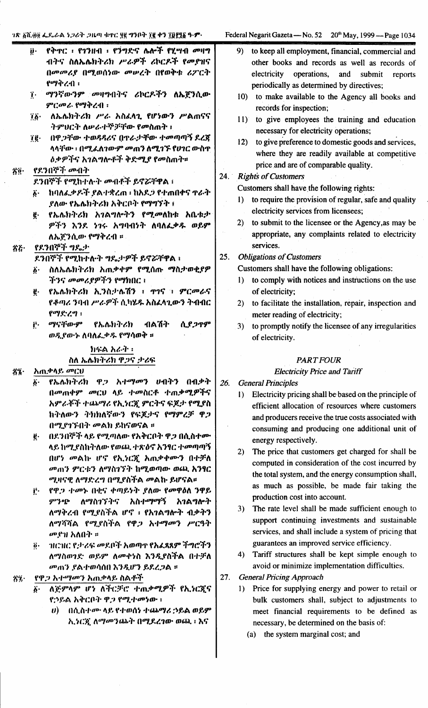$1$  Negarit Gazeta — No. 52  $20<sup>th</sup>$  May, 1999 — Page 1034

|     |                       | ገጽ ፩ሺ.፴፬ ፌዶ ራል ነጋራት ጋዜጣ ቁዋር ፶፪ ግንቦት ፲፪ ቀን ፲፬፻፺፩ ዓ·ም· |     | Federa           |
|-----|-----------------------|------------------------------------------------------|-----|------------------|
|     |                       | ij· የቅጥር ፡ የገንዘብ ፡ የንግድና ሌሎች የሂሣብ መዛግ                |     | 9)               |
|     |                       | ብትና ስለኤሌክትሪክ ሥራዎች ሪኮርዶች የመደዝና                        |     |                  |
|     |                       | በመመሪያ በሚወሰነው መሠረት በየወቅቱ ሪፖርት                         |     |                  |
|     |                       | $\mathbf{f}^{\mu\nu}$ ቅረብ ፡                          |     |                  |
|     | Ţ.                    | ማንኛውንም መዛግብትና ሪኮርዶችን ለኤጀንሲው                          |     | 10               |
|     |                       | <b>ምር</b> መራ የማቅረብ ፡                                 |     |                  |
|     | ïö∙ ∴                 | ለኤሌክትሪክ ሥራ አስፈላጊ የሆነውን ሥልጠናና                         |     |                  |
|     |                       | ትምህርት ለሥራተኞቻቸው የመስጠት ፣                               |     | 11               |
|     | ïë·                   | በዋጋቸው ተወዳዳሪና በዋራታቸው ተመጣጣኝ ደረጃ                        |     |                  |
|     |                       | ላላቸው ፡ በሚ <i>ፌ</i> ለገውም <i>መ</i> ጠን ለሚገኙ የሀገር ውስጥ    |     | 12               |
|     |                       | <i>ዕ.</i> ቃዎችና አገልግሎቶች ቅድሚ <i>ያ የ</i> መስጠት።          |     |                  |
|     |                       | . የደንበኞች <i>መ</i> ብት                                 |     |                  |
| ጵë∙ |                       | ደንበኞች የሚከተሉት መብቶች ይኖሯቸዋል ፡                           | 24. | $\overline{R}$ i |
|     |                       |                                                      |     | $\mathbf{C}$     |
|     | δ.                    | ከባለፌቃዶች ያልተቋረጠ ፡ ከአዶጋ የተጠበቀና ዋራት                     |     | $\bf{I}$         |
|     |                       | ደለው የኤሌክትሪክ አቅርቦት የማግኘት ፣                            |     |                  |
|     | ğ.                    | የኤሌክትሪክ አገልግሎትን የሚመለከቱ አቤቱታ                          |     |                  |
|     |                       | ዎችን እንደ ነገሩ አግባብነት ለባለፌቃዱ ወይም                        |     | 2)               |
|     |                       | ለኤጀንሲው የማቅረብ ።                                       |     |                  |
| 芥石・ |                       | _የደንበኞች ግዴታ                                          |     |                  |
|     |                       | ደንበኞች የሚከተሉት ግዴታዎች ይኖሯቸዋል ፡                          | 25. | $\overline{O}$   |
|     | $\ddot{\bm{o}}$ .     | ስለኤሌክትሪክ አጠቃቀም የሚሰጡ ማስታወቂያዎ                          |     | $\mathbf{C}$     |
|     |                       | ችንና መመሪያዎችን የማክበር ፣                                  |     | 1)               |
|     |                       | <u>ቂ· የኤሌክትሪክ ኢንስታሌሽን ፣ ተገና ፣ ምርመራና</u>              |     |                  |
|     |                       | የቆጣሪ ንባብ ሥራዎች ሲካሄዱ አስፈላጊውን ትብብር                      |     | 2)               |
|     |                       | የማድረግ ፡                                              |     |                  |
|     | Ë.                    | ብልሽት ሲ <i>ያጋ</i> ዋም<br>ማናቸውም የኤሌክትሪክ                 |     | 3)               |
|     |                       | ወዲያውኍ ስባለፌቃዱ የማሳወቅ ።                                 |     |                  |
|     |                       | ክፍል አራት ፡                                            |     |                  |
|     |                       | ስለ ኤሌክትሪክ ዋጋና ታሪፍ                                    |     |                  |
| 芥ジ・ |                       | አጠ.ቃላይ <i>መ</i> ርህ                                   |     |                  |
|     | $\ddot{b}$ .          | የኤሌክትሪክ ዋጋ አተማመን ሀብትን<br>በብቃት                        | 26. |                  |
|     |                       | በ <i>መ</i> ጠቀም <i>መ</i> ርህ ላይ ተመስርቶ ተጠቃሚዎችና          |     | $G_{0}$          |
|     |                       | አምራቾች ተጨማሪ የኢነርጇ ምርትና ፍጆታ የሚያስ                       |     | I)               |
|     |                       | ከትለውን ትክክለኛውን የፍጆታና የማምረቻ ዋጋ                         |     |                  |
|     |                       |                                                      |     |                  |
|     |                       | በሚያገኙበት መልክ ይከናወናል ፡፡                                |     |                  |
|     | ġ.                    | በደንበኞች ላይ የሚጣለው የአቅርቦት ዋጋ በሲስተሙ                      |     |                  |
|     |                       | ላይ ከሚያስከትለው የወጨ ተጽዕኖ አንፃር ተመጣጣኝ                      |     | 2)               |
|     |                       | በሆነ መልኩ ሆኖ የኢነርጇ አጠቃቀሙን በተቻለ                         |     |                  |
|     |                       | መጠን ምርቱን ለማስገኘት ከሚወጣው ወጪ አንፃር                        |     |                  |
|     |                       | ሚዛናዊ ለማድረግ በሚያስችል መልኩ ይሆናል።                          |     |                  |
|     | Ë.                    | የዋ <i>ጋ ተመኑ</i> በቂና ቀጣይነት ያለው የመዋዕለ ንዋይ              |     |                  |
|     |                       | <i>ምንጭ ለማስገኘትና እስተማማኝ አገ</i> ልግሎት                    |     | 3)               |
|     |                       | ለማቅረብ የሚደስችል ሆኖ ፡ የአንልግሎት ብቃትን                       |     |                  |
|     |                       | ለማሻሻል የሚያስችል የዋ <i>ጋ አተማመን ሥርዓት</i>                  |     |                  |
|     |                       | <i>መ</i> የዝ አለበት ።                                   |     |                  |
|     | $\ddot{\mathbf{0}}$ . | ገዘርዝር የታሪፍ መደቦች አወጣዋ የአፈጸጸም ችግሮችን                    |     |                  |
|     |                       |                                                      |     |                  |

ለማስወንድ ወይም ለመቀንስ እንዲያስችል በተቻለ መጠን ያልተወሳሰበ እንዲሆን ይደረጋል ፡፡

የዋ*ጋ አተማሙን አ*ሐቃላይ ስልቶች ÄΊ.

- ለጅምላም ሆነ ለችርቻሮ ተጠቃሚዎች የኢነርጇና የኃይል አቅርቦት ዋጋ የሚተመነው ፡
	- ብሲስተሙ ላይ የተወሰነ ተጨማሪ ኃይል ወይም D) አ.ነርጇ ለማመንጨት በሚደረገው ወጪ ፡ እና
- to keep all employment, financial, commercial and other books and records as well as records of electricity operations, and submit reports periodically as determined by directives;
- ) to make available to the Agency all books and records for inspection;
- ) to give employees the training and education necessary for electricity operations;
- (b) to give preference to domestic goods and services, where they are readily available at competitive price and are of comparable quality.
- ights of Customers
	- ustomers shall have the following rights:
	- to require the provision of regular, safe and quality electricity services from licensees;
	- to submit to the licensee or the Agency, as may be appropriate, any complaints related to electricity services.
- bligations of Customers

ustomers shall have the following obligations:

- to comply with notices and instructions on the use of electricity;
- to facilitate the installation, repair, inspection and meter reading of electricity;
- to promptly notify the licensee of any irregularities of electricity.

### **PART FOUR**

### **Electricity Price and Tariff**

- eneral Principles
	- Electricity pricing shall be based on the principle of efficient allocation of resources where customers and producers receive the true costs associated with consuming and producing one additional unit of energy respectively.
	- The price that customers get charged for shall be computed in consideration of the cost incurred by the total system, and the energy consumption shall, as much as possible, be made fair taking the production cost into account.
	- The rate level shall be made sufficient enough to support continuing investments and sustainable services, and shall include a system of pricing that guarantees an improved service efficiency.
	- Tariff structures shall be kept simple enough to avoid or minimize implementation difficulties.
- $27.$ **General Pricing Approach** 
	- 1) Price for supplying energy and power to retail or bulk customers shall, subject to adjustments to meet financial requirements to be defined as necessary, be determined on the basis of:
		- (a) the system marginal cost; and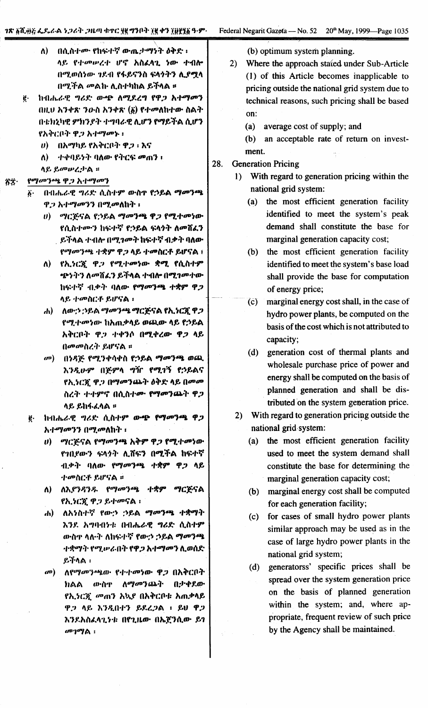| ለ). | በሲስተሙ የከፍተኛ ውሒታማንት ዕቅድ ፡                               |  |  |  |
|-----|--------------------------------------------------------|--|--|--|
|     | ላይ የተመሠረተ ሆኖ አስፈላጊ ነው ተብሎ                              |  |  |  |
|     | በሚወሰነው ገዶብ የፋይናንስ ፍላንትን ሊያሟላ<br>በሚችል መልኩ ሊስተካከል ይችላል ። |  |  |  |

- ġ. ከብሔራዊ ግሪድ ውጭ ለሚደረግ የዋጋ አተማመን በዚህ አንቀጽ ንውስ አንቀጽ (፩) የተመለከተው ስልት በቴክኒካዊ ምክንያት ተግባራዊ ሊሆን የማይችል ሲሆን የአቅርቦት ዋጋ አተማመኑ ፡
	- $\boldsymbol{\theta}$  በአማካይ የአቅርቦት ዋጋ ፡ እና
	- -ተቀባይነት ባለው የትርፍ መጠን ፡  $\Lambda$ )

ላይ ይመሥረታል ።

#### የማመንጫ ዋጋ አተማመን 省实·

- በብሔራዊ ግሪድ ሲስተም ውስዋ የኃይል ማመንጫ  $\ddot{\mathbf{b}}$ . ዋ.ጋ አተማመንን በሚመለከት ፡
	- ሀ) ማርጅናል የኃይል ማመንጫ ዋጋ የሚተመነው የሲስተሙን ከፍተኛ የኃይል ፍላንት ለመሸፈን ይችላል ተብሎ በሚገመት ከፍተኛ ብቃት ባለው የማመንጫ ተቋም ዋጋ ላይ ተመስርቶ ይሆናል ፣
	- ለ) የኢንርጂ ዋጋ የሚተመነው ቋሚ የሲስተም ጭንትን ለመሸፈን ይችላል ተብሎ በሚገመተው ከፍተኛ ብቃት ባለው የማመንጫ ተቋም ዋጋ ላይ ተመስርቶ ይሆናል ፡
	- .h) ለው:ን :ንይል ማመንጫ ማርጅናል የኢንርጇ ዋ*ጋ* የሚተመነው ከአጠቃላይ ወጪው ላይ የኃይል አቅርቦት ዋጋ ተቀንሶ በሚቀረው ዋጋ ላይ በመመስረት ይሆናል ።
	- መ) በነዳጅ የሚንቀሳቀስ የኃይል ማመንጫ ወጪ እንዲሁም በጅምላ ግዥ የሚገኝ የኃይልና የኢነርጂ ዋጋ በማመንጨት ዕቅድ ላይ በመመ ስረት ተቀምኖ በሲስተው የማመንጨት ዋጋ ላይ ይከፋፈላል ፡፡
	- ከብሔራዊ ግሪድ ሲስተም ውጭ የማመንጫ ዋጋ ë. አ*ተማመንን በሚመ*ለከት ፡
		- ሀ) ማርጅናል የማመንጫ አቅም ዋጋ የሚተመነው የገቢየውን ፍላጎት ሊሸፍን በሚችል ከፍተኛ ብቃት ባለው የማመንጫ ተቋም ዋጋ ላይ ተመስርቶ ይሆናል ፡፡
		- ለእያንዳንዱ የማመንጫ ተቋም ለ) -*ግ*ርጅናል የኢንርጇ ዋጋ ይተመናል ፡
		- ሐ) ለአነስተኛ የው:ን :ንይል *ማመን*ጫ ተቋማት እንደ አግባብነቱ በብሔራዊ ግሪድ ሲስተም ውስዋ ላሉት ለከፍተኛ የውኃ ኃይል ማመንጫ ተቋማት የሚሥራበት የዋ*ጋ* አተማመን ሊወሰድ  $f$ .  $f \wedge f$ .
		- መ) ለየማመንጫው የተተመነው ዋጋ በአቅርቦት ክልል ውስ**ተ ለ***ማመን***ጨት** በታቀደው የኢንርጂ መጠን አኳያ በአቅርቦቱ አጠቃላይ ዋጋ ላይ እንዲበተን ይደረጋል ፡ ይህ ዋጋ እንደአስፈላጊንቱ በየጊዜው በኤጀንሲው ይገ መገማል:

(b) optimum system planning.

- 2) Where the approach stated under Sub-Article (1) of this Article becomes inapplicable to pricing outside the national grid system due to technical reasons, such pricing shall be based on:
	- (a) average cost of supply; and
	- (b) an acceptable rate of return on investment.

#### 28. **Generation Pricing**

- With regard to generation pricing within the  $1)$ national grid system:
	- the most efficient generation facility  $(a)$ identified to meet the system's peak demand shall constitute the base for marginal generation capacity cost;
	- (b) the most efficient generation facility identified to meet the system's base load shall provide the base for computation of energy price;
	- marginal energy cost shall, in the case of  $\overline{c}$ hydro power plants, be computed on the basis of the cost which is not attributed to capacity;
	- (d) generation cost of thermal plants and wholesale purchase price of power and energy shall be computed on the basis of planned generation and shall be distributed on the system generation price.
- 2) With regard to generation pricing outside the national grid system:
	- (a) the most efficient generation facility used to meet the system demand shall constitute the base for determining the marginal generation capacity cost;
	- marginal energy cost shall be computed  $(b)$ for each generation facility;
	- for cases of small hydro power plants  $(c)$ similar approach may be used as in the case of large hydro power plants in the national grid system;
	- generatorss' specific prices shall be  $(d)$ spread over the system generation price on the basis of planned generation within the system; and, where appropriate, frequent review of such price by the Agency shall be maintained.